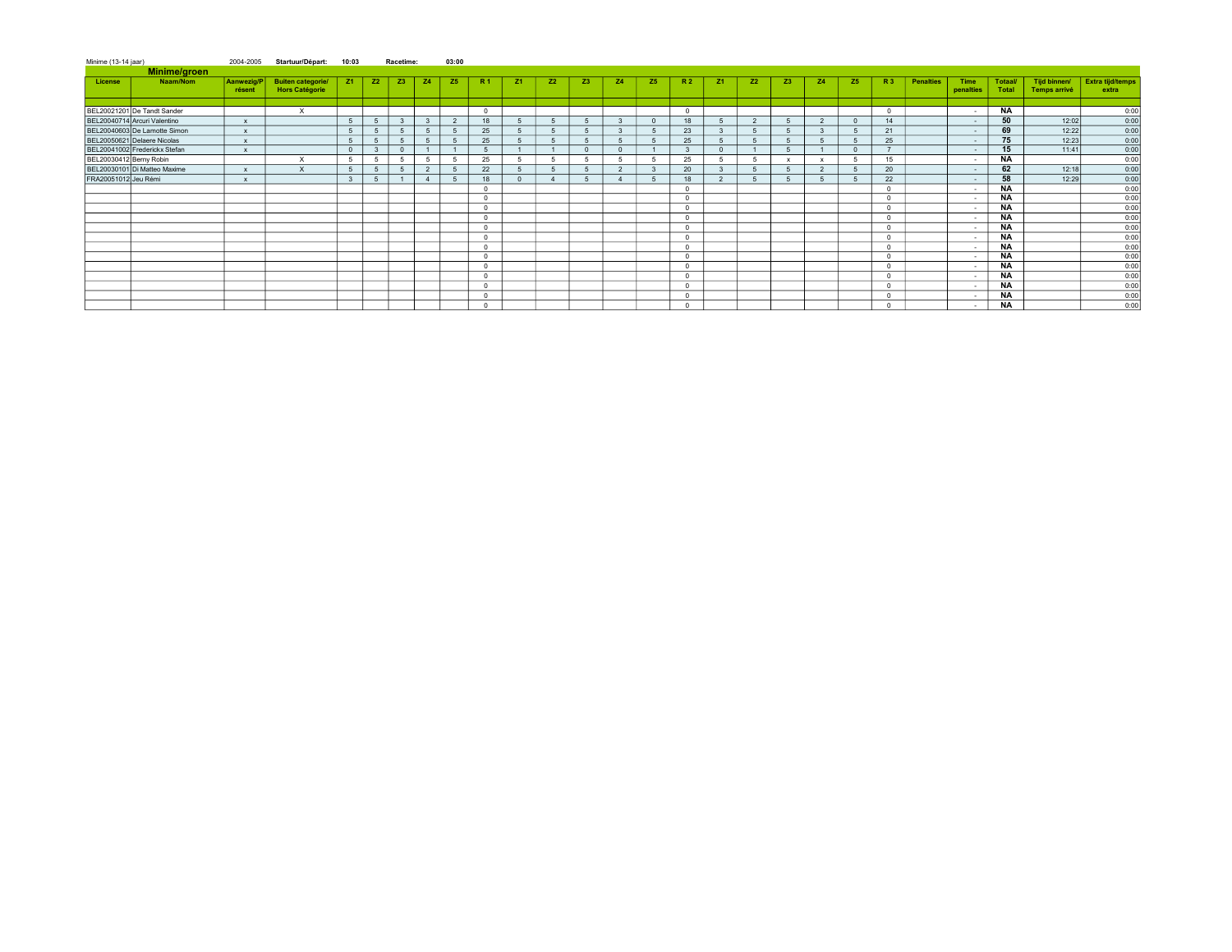| Minime (13-14 iaar)     |                               | 2004-2005                 | Startuur/Départ:                                  | 10:03        |                 | Racetime:      |              | 03:00          |                |           |                |                |                |              |            |                |                |                |                |              |          |                  |                   |                         |                              |                                  |
|-------------------------|-------------------------------|---------------------------|---------------------------------------------------|--------------|-----------------|----------------|--------------|----------------|----------------|-----------|----------------|----------------|----------------|--------------|------------|----------------|----------------|----------------|----------------|--------------|----------|------------------|-------------------|-------------------------|------------------------------|----------------------------------|
|                         | Minime/groen                  |                           |                                                   |              |                 |                |              |                |                |           |                |                |                |              |            |                |                |                |                |              |          |                  |                   |                         |                              |                                  |
| License                 | Naam/Nom                      | Aanwezig/P<br>résent      | <b>Buiten categorie/</b><br><b>Hors Catégorie</b> | <b>Z1</b>    | <b>Z2</b>       | Z <sub>3</sub> | <b>Z4</b>    | Z <sub>5</sub> | <b>R1</b>      | <b>Z1</b> | <b>Z2</b>      | Z <sub>3</sub> | <b>Z4</b>      | <b>Z5</b>    | <b>R2</b>  | Z <sub>1</sub> | Z2             | Z <sub>3</sub> | <b>Z4</b>      | <b>Z5</b>    | R3       | <b>Penalties</b> | Time<br>penalties | <b>Totaal/</b><br>Total | Tijd binnen/<br>Temps arrivé | <b>Extra tijd/temps</b><br>extra |
|                         |                               |                           |                                                   |              |                 |                |              |                |                |           |                |                |                |              |            |                |                |                |                |              |          |                  |                   |                         |                              |                                  |
|                         | BEL20021201 De Tandt Sander   |                           | $\times$                                          |              |                 |                |              |                | $^{\circ}$     |           |                |                |                |              | $\sim$     |                |                |                |                |              | $\Omega$ |                  | $\sim$            | <b>NA</b>               |                              | 0:00                             |
|                         | BEL20040714 Arcuri Valentino  | $\boldsymbol{\mathsf{x}}$ |                                                   | $\sqrt{5}$   | $5\overline{5}$ | 3              | $\mathbf{3}$ | $\overline{2}$ | 18             |           | 5              |                | $\mathbf{3}$   | $\Omega$     | 18         |                | $\overline{2}$ |                | $\overline{2}$ | $\sqrt{ }$   | 14       |                  | $\sim$            | 50                      | 12:02                        | 0:00                             |
|                         | BEL20040603 De Lamotte Simon  | $\mathbf{x}$              |                                                   | -5           | $\sqrt{5}$      | 5              | 5            | $\sqrt{5}$     | 25             |           | 5              |                |                |              | 23         |                |                |                | 3              |              | 21       |                  | $\sim$            | 69                      | 12:22                        | 0:00                             |
|                         | BEL20050621 Delaere Nicolas   | $\mathbf{x}$              |                                                   |              | $\overline{5}$  | 5              | 5            | 5              | 25             |           | 5              |                | 5              |              | 25         |                |                |                | 5              |              | 25       |                  | $\sim$            | 75                      | 12:23                        | 0:00                             |
|                         | BEL20041002 Frederickx Stefan | $\mathbf{x}$              |                                                   | $\Omega$     | 3               | $\Omega$       |              |                | 5              |           |                |                | $\sim$         |              |            | $\Omega$       |                |                |                |              |          |                  | $\sim$            | 15                      | 11:41                        | 0:00                             |
| BEL20030412 Berny Robin |                               |                           | $\times$                                          |              | 5               | 5              | -5           | 5              | 25             |           | $\overline{5}$ |                | 5              |              | 25         | $\mathbf{r}$   | 5              |                | $\mathbf{x}$   | $\mathbf{r}$ | 15       |                  | $\sim$            | <b>NA</b>               |                              | 0:00                             |
|                         | BEL20030101 Di Matteo Maxime  | $\mathbf{x}$              | $\times$                                          |              | $\overline{5}$  | $\overline{5}$ | 2            | -5             | 22             |           | 5              |                | $\overline{2}$ | $\mathbf{R}$ | 20         | $\mathbf{R}$   | 5              |                | $\overline{2}$ |              | 20       |                  | $\sim$            | 62                      | 12:18                        | 0:00                             |
| FRA20051012 Jeu Rémi    |                               | $\mathbf{x}$              |                                                   | $\mathbf{3}$ | 5               |                |              | -5             | 18             |           |                |                |                |              | 18         | $\overline{2}$ |                |                | 5              |              | 22       |                  | $\sim$            | 58                      | 12:29                        | 0:00                             |
|                         |                               |                           |                                                   |              |                 |                |              |                | $\Omega$       |           |                |                |                |              | $\sim$     |                |                |                |                |              | $\Omega$ |                  | ٠.                | <b>NA</b>               |                              | 0:00                             |
|                         |                               |                           |                                                   |              |                 |                |              |                | $\Omega$       |           |                |                |                |              | $\sim$     |                |                |                |                |              | $\Omega$ |                  | $\sim$            | <b>NA</b>               |                              | 0:00                             |
|                         |                               |                           |                                                   |              |                 |                |              |                | $\Omega$       |           |                |                |                |              |            |                |                |                |                |              | $\Omega$ |                  |                   | <b>NA</b>               |                              | 0:00                             |
|                         |                               |                           |                                                   |              |                 |                |              |                | $^{\circ}$     |           |                |                |                |              | $\Omega$   |                |                |                |                |              | $\Omega$ |                  | $\sim$            | <b>NA</b>               |                              | 0:00                             |
|                         |                               |                           |                                                   |              |                 |                |              |                | $\overline{0}$ |           |                |                |                |              | $\Omega$   |                |                |                |                |              | $\Omega$ |                  | . .               | <b>NA</b>               |                              | 0:00                             |
|                         |                               |                           |                                                   |              |                 |                |              |                | $\Omega$       |           |                |                |                |              |            |                |                |                |                |              | $\Omega$ |                  | . .               | <b>NA</b>               |                              | 0:00                             |
|                         |                               |                           |                                                   |              |                 |                |              |                | $\overline{0}$ |           |                |                |                |              | $\sim$     |                |                |                |                |              | $\Omega$ |                  | $\sim$            | <b>NA</b>               |                              | 0:00                             |
|                         |                               |                           |                                                   |              |                 |                |              |                | $\Omega$       |           |                |                |                |              | $\sim$     |                |                |                |                |              | $\Omega$ |                  | . .               | <b>NA</b>               |                              | 0:00                             |
|                         |                               |                           |                                                   |              |                 |                |              |                | $^{\circ}$     |           |                |                |                |              |            |                |                |                |                |              | $\Omega$ |                  | $\sim$            | <b>NA</b>               |                              | 0:00                             |
|                         |                               |                           |                                                   |              |                 |                |              |                | $\circ$        |           |                |                |                |              | $\sim$     |                |                |                |                |              | $\Omega$ |                  |                   | <b>NA</b>               |                              | 0:00                             |
|                         |                               |                           |                                                   |              |                 |                |              |                | $\Omega$       |           |                |                |                |              |            |                |                |                |                |              | $\Omega$ |                  |                   | <b>NA</b>               |                              | 0:00                             |
|                         |                               |                           |                                                   |              |                 |                |              |                | $\overline{0}$ |           |                |                |                |              | $\sqrt{2}$ |                |                |                |                |              | $\Omega$ |                  | $\sim$            | <b>NA</b>               |                              | 0:00                             |
|                         |                               |                           |                                                   |              |                 |                |              |                | $\Omega$       |           |                |                |                |              | $\Omega$   |                |                |                |                |              | $\Omega$ |                  | $\sim$            | <b>NA</b>               |                              | 0:00                             |